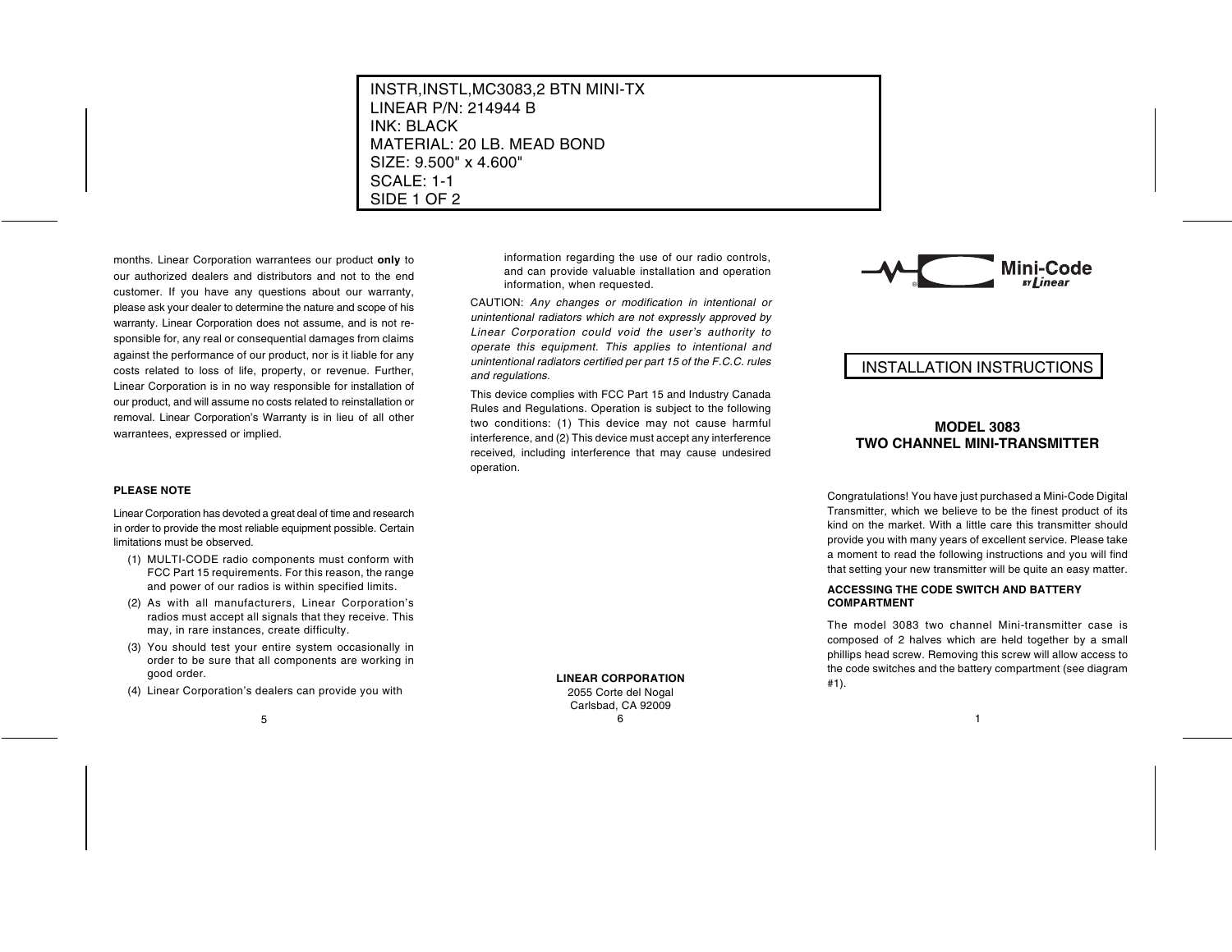months. Linear Corporation warrantees our product **only** to our authorized dealers and distributors and not to the endcustomer. If you have any questions about our warranty, please ask your dealer to determine the nature and scope of his warranty. Linear Corporation does not assume, and is not responsible for, any real or consequential damages from claims against the performance of our product, nor is it liable for any costs related to loss of life, property, or revenue. Further, Linear Corporation is in no way responsible for installation of our product, and will assume no costs related to reinstallation or removal. Linear Corporation's Warranty is in lieu of all other warrantees, expressed or implied.

### **PLEASE NOTE**

Linear Corporation has devoted a great deal of time and research in order to provide the most reliable equipment possible. Certain limitations must be observed.

- (1) MULTI-CODE radio components must conform with FCC Part 15 requirements. For this reason, the range and power of our radios is within specified limits.
- (2) As with all manufacturers, Linear Corporation's radios must accept all signals that they receive. This may, in rare instances, create difficulty.
- (3) You should test your entire system occasionally in order to be sure that all components are working in good order.
- (4) Linear Corporation's dealers can provide you with

information regarding the use of our radio controls, and can provide valuable installation and operation information, when requested.

CAUTION: Any changes or modification in intentional or unintentional radiators which are not expressly approved by Linear Corporation could void the user's authority to operate this equipment. This applies to intentional and unintentional radiators certified per part 15 of the F.C.C. rules and regulations.

This device complies with FCC Part 15 and Industry Canada Rules and Regulations. Operation is subject to the following two conditions: (1) This device may not cause harmful interference, and (2) This device must accept any interference received, including interference that may cause undesired operation.



# INSTALLATION INSTRUCTIONS

## **MODEL 3083TWO CHANNEL MINI-TRANSMITTER**

Congratulations! You have just purchased a Mini-Code Digital Transmitter, which we believe to be the finest product of its kind on the market. With a little care this transmitter shouldprovide you with many years of excellent service. Please take a moment to read the following instructions and you will find that setting your new transmitter will be quite an easy matter.

#### **ACCESSING THE CODE SWITCH AND BATTERYCOMPARTMENT**

The model 3083 two channel Mini-transmitter case is composed of 2 halves which are held together by a small phillips head screw. Removing this screw will allow access to the code switches and the battery compartment (see diagram #1).

**LINEAR CORPORATION**2055 Corte del Nogal Carlsbad, CA 92009  $\frac{6}{1}$